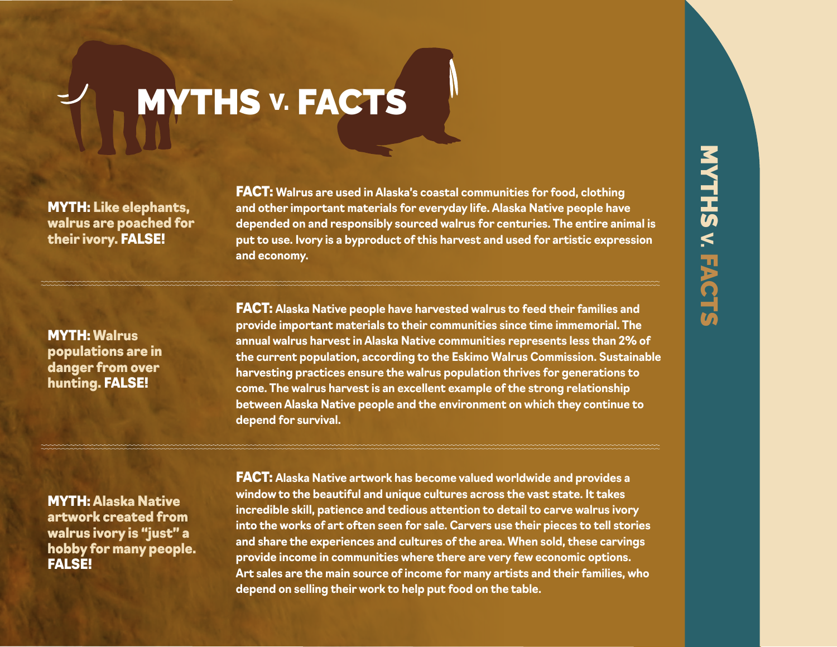## **MYTHS v. FACTS**

MYTH: Like elephants, walrus are poached for their ivory. FALSE!

FACT: **Walrus are used in Alaska's coastal communities for food, clothing and other important materials for everyday life. Alaska Native people have depended on and responsibly sourced walrus for centuries. The entire animal is put to use. Ivory is a byproduct of this harvest and used for artistic expression and economy.**

MYTH: Walrus populations are in danger from over hunting. FALSE!

FACT: **Alaska Native people have harvested walrus to feed their families and provide important materials to their communities since time immemorial. The annual walrus harvest in Alaska Native communities represents less than 2% of the current population, according to the Eskimo Walrus Commission. Sustainable harvesting practices ensure the walrus population thrives for generations to come. The walrus harvest is an excellent example of the strong relationship between Alaska Native people and the environment on which they continue to depend for survival.**

MYTH: Alaska Native artwork created from walrus ivory is "just" a hobby for many people. FALSE!

FACT: **Alaska Native artwork has become valued worldwide and provides a window to the beautiful and unique cultures across the vast state. It takes incredible skill, patience and tedious attention to detail to carve walrus ivory into the works of art often seen for sale. Carvers use their pieces to tell stories and share the experiences and cultures of the area. When sold, these carvings provide income in communities where there are very few economic options. Art sales are the main source of income for many artists and their families, who depend on selling their work to help put food on the table.**